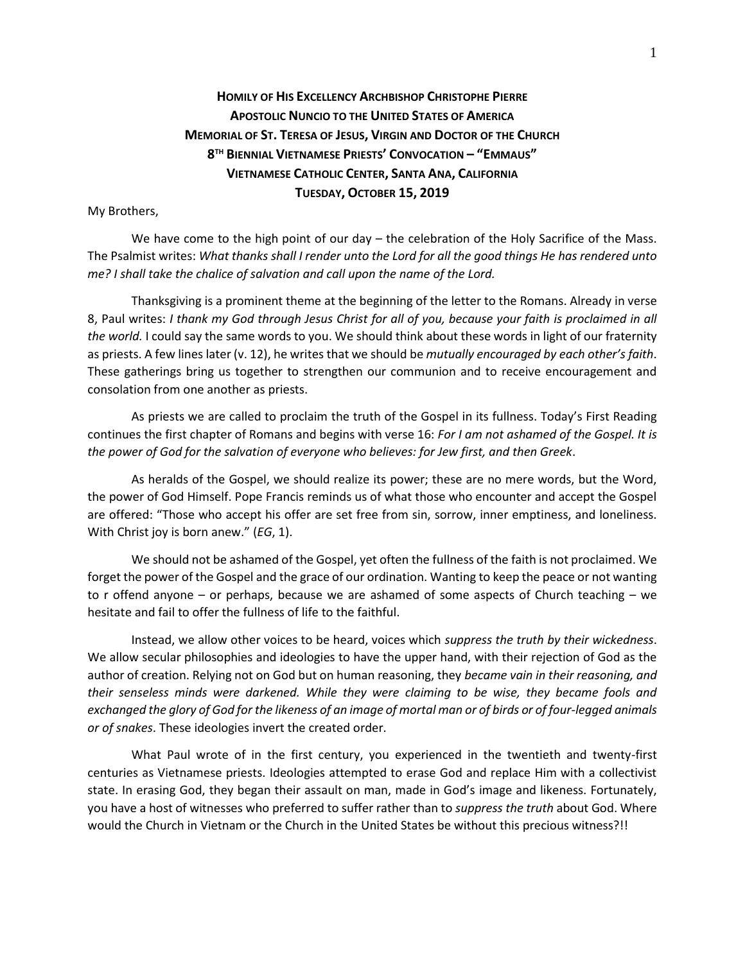## **HOMILY OF HIS EXCELLENCY ARCHBISHOP CHRISTOPHE PIERRE APOSTOLIC NUNCIO TO THE UNITED STATES OF AMERICA MEMORIAL OF ST. TERESA OF JESUS, VIRGIN AND DOCTOR OF THE CHURCH 8 TH BIENNIAL VIETNAMESE PRIESTS' CONVOCATION – "EMMAUS" VIETNAMESE CATHOLIC CENTER, SANTA ANA, CALIFORNIA TUESDAY, OCTOBER 15, 2019**

## My Brothers,

We have come to the high point of our day – the celebration of the Holy Sacrifice of the Mass. The Psalmist writes: *What thanks shall I render unto the Lord for all the good things He has rendered unto me? I shall take the chalice of salvation and call upon the name of the Lord.*

Thanksgiving is a prominent theme at the beginning of the letter to the Romans. Already in verse 8, Paul writes: *I thank my God through Jesus Christ for all of you, because your faith is proclaimed in all the world.* I could say the same words to you. We should think about these words in light of our fraternity as priests. A few lines later (v. 12), he writes that we should be *mutually encouraged by each other's faith*. These gatherings bring us together to strengthen our communion and to receive encouragement and consolation from one another as priests.

As priests we are called to proclaim the truth of the Gospel in its fullness. Today's First Reading continues the first chapter of Romans and begins with verse 16: *For I am not ashamed of the Gospel. It is the power of God for the salvation of everyone who believes: for Jew first, and then Greek*.

As heralds of the Gospel, we should realize its power; these are no mere words, but the Word, the power of God Himself. Pope Francis reminds us of what those who encounter and accept the Gospel are offered: "Those who accept his offer are set free from sin, sorrow, inner emptiness, and loneliness. With Christ joy is born anew." (*EG*, 1).

We should not be ashamed of the Gospel, yet often the fullness of the faith is not proclaimed. We forget the power of the Gospel and the grace of our ordination. Wanting to keep the peace or not wanting to r offend anyone – or perhaps, because we are ashamed of some aspects of Church teaching – we hesitate and fail to offer the fullness of life to the faithful.

Instead, we allow other voices to be heard, voices which *suppress the truth by their wickedness*. We allow secular philosophies and ideologies to have the upper hand, with their rejection of God as the author of creation. Relying not on God but on human reasoning, they *became vain in their reasoning, and their senseless minds were darkened. While they were claiming to be wise, they became fools and exchanged the glory of God for the likeness of an image of mortal man or of birds or of four-legged animals or of snakes*. These ideologies invert the created order.

What Paul wrote of in the first century, you experienced in the twentieth and twenty-first centuries as Vietnamese priests. Ideologies attempted to erase God and replace Him with a collectivist state. In erasing God, they began their assault on man, made in God's image and likeness. Fortunately, you have a host of witnesses who preferred to suffer rather than to *suppress the truth* about God. Where would the Church in Vietnam or the Church in the United States be without this precious witness?!!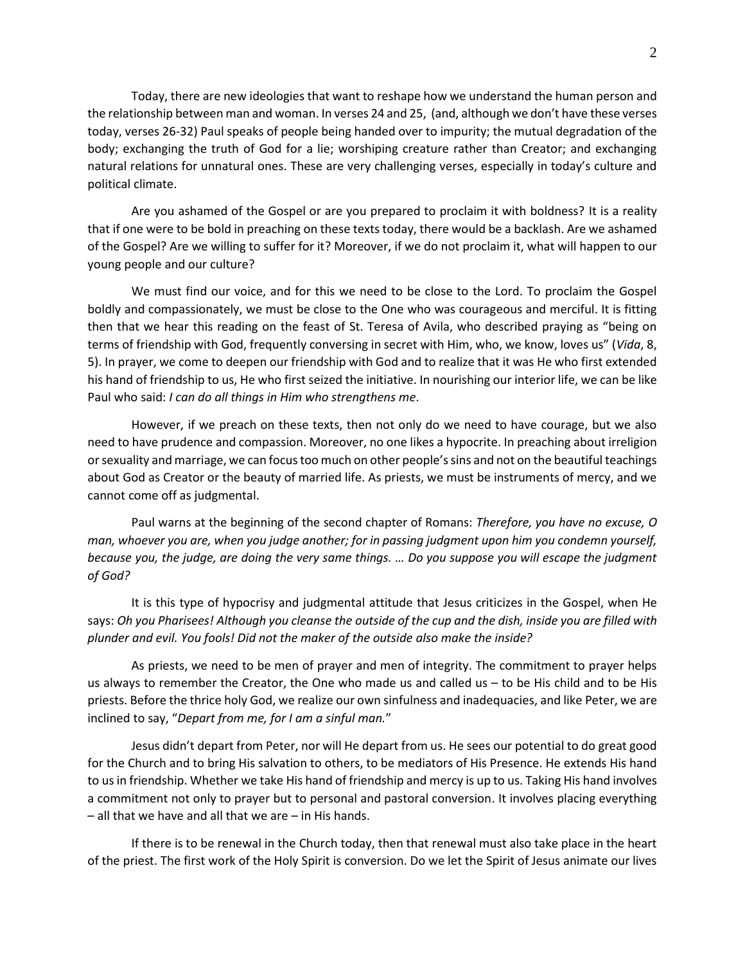Today, there are new ideologies that want to reshape how we understand the human person and the relationship between man and woman. In verses 24 and 25, (and, although we don't have these verses today, verses 26-32) Paul speaks of people being handed over to impurity; the mutual degradation of the body; exchanging the truth of God for a lie; worshiping creature rather than Creator; and exchanging natural relations for unnatural ones. These are very challenging verses, especially in today's culture and political climate.

Are you ashamed of the Gospel or are you prepared to proclaim it with boldness? It is a reality that if one were to be bold in preaching on these texts today, there would be a backlash. Are we ashamed of the Gospel? Are we willing to suffer for it? Moreover, if we do not proclaim it, what will happen to our young people and our culture?

We must find our voice, and for this we need to be close to the Lord. To proclaim the Gospel boldly and compassionately, we must be close to the One who was courageous and merciful. It is fitting then that we hear this reading on the feast of St. Teresa of Avila, who described praying as "being on terms of friendship with God, frequently conversing in secret with Him, who, we know, loves us" (*Vida*, 8, 5). In prayer, we come to deepen our friendship with God and to realize that it was He who first extended his hand of friendship to us, He who first seized the initiative. In nourishing our interior life, we can be like Paul who said: *I can do all things in Him who strengthens me*.

However, if we preach on these texts, then not only do we need to have courage, but we also need to have prudence and compassion. Moreover, no one likes a hypocrite. In preaching about irreligion or sexuality and marriage, we can focus too much on other people's sins and not on the beautiful teachings about God as Creator or the beauty of married life. As priests, we must be instruments of mercy, and we cannot come off as judgmental.

Paul warns at the beginning of the second chapter of Romans: *Therefore, you have no excuse, O man, whoever you are, when you judge another; for in passing judgment upon him you condemn yourself, because you, the judge, are doing the very same things. … Do you suppose you will escape the judgment of God?*

It is this type of hypocrisy and judgmental attitude that Jesus criticizes in the Gospel, when He says: *Oh you Pharisees! Although you cleanse the outside of the cup and the dish, inside you are filled with plunder and evil. You fools! Did not the maker of the outside also make the inside?*

As priests, we need to be men of prayer and men of integrity. The commitment to prayer helps us always to remember the Creator, the One who made us and called us – to be His child and to be His priests. Before the thrice holy God, we realize our own sinfulness and inadequacies, and like Peter, we are inclined to say, "*Depart from me, for I am a sinful man.*"

Jesus didn't depart from Peter, nor will He depart from us. He sees our potential to do great good for the Church and to bring His salvation to others, to be mediators of His Presence. He extends His hand to us in friendship. Whether we take His hand of friendship and mercy is up to us. Taking His hand involves a commitment not only to prayer but to personal and pastoral conversion. It involves placing everything – all that we have and all that we are – in His hands.

If there is to be renewal in the Church today, then that renewal must also take place in the heart of the priest. The first work of the Holy Spirit is conversion. Do we let the Spirit of Jesus animate our lives